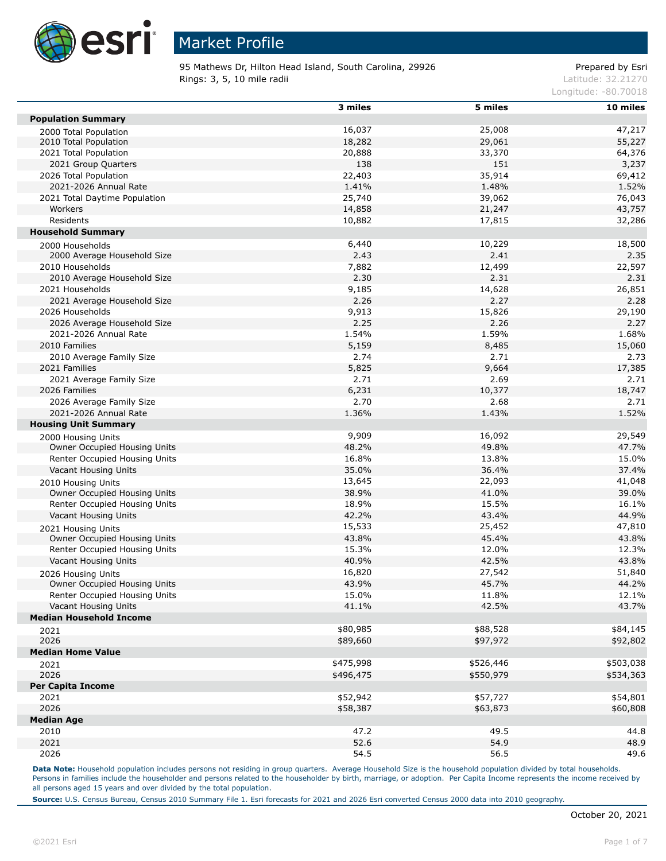

95 Mathews Dr, Hilton Head Island, South Carolina, 29926 Prepared by Esri **Rings: 3, 5, 10 mile radii**  $\blacksquare$  **Rings: 3, 5, 10 mile radii**  $\blacksquare$ 

Longitude: -80.70018

|                                     | 3 miles   | 5 miles   | $10$ miles |
|-------------------------------------|-----------|-----------|------------|
| <b>Population Summary</b>           |           |           |            |
|                                     | 16,037    | 25,008    | 47,217     |
| 2000 Total Population               |           |           |            |
| 2010 Total Population               | 18,282    | 29,061    | 55,227     |
| 2021 Total Population               | 20,888    | 33,370    | 64,376     |
| 2021 Group Quarters                 | 138       | 151       | 3,237      |
| 2026 Total Population               | 22,403    | 35,914    | 69,412     |
| 2021-2026 Annual Rate               | 1.41%     | 1.48%     | 1.52%      |
| 2021 Total Daytime Population       | 25,740    | 39,062    | 76,043     |
| Workers                             | 14,858    | 21,247    | 43,757     |
| Residents                           | 10,882    | 17,815    | 32,286     |
| <b>Household Summary</b>            |           |           |            |
| 2000 Households                     | 6,440     | 10,229    | 18,500     |
| 2000 Average Household Size         | 2.43      | 2.41      | 2.35       |
|                                     |           |           |            |
| 2010 Households                     | 7,882     | 12,499    | 22,597     |
| 2010 Average Household Size         | 2.30      | 2.31      | 2.31       |
| 2021 Households                     | 9,185     | 14,628    | 26,851     |
| 2021 Average Household Size         | 2.26      | 2.27      | 2.28       |
| 2026 Households                     | 9,913     | 15,826    | 29,190     |
| 2026 Average Household Size         | 2.25      | 2.26      | 2.27       |
| 2021-2026 Annual Rate               | 1.54%     | 1.59%     | 1.68%      |
| 2010 Families                       | 5,159     | 8,485     | 15,060     |
| 2010 Average Family Size            | 2.74      | 2.71      | 2.73       |
| 2021 Families                       | 5,825     | 9,664     | 17,385     |
| 2021 Average Family Size            | 2.71      | 2.69      | 2.71       |
|                                     |           |           |            |
| 2026 Families                       | 6,231     | 10,377    | 18,747     |
| 2026 Average Family Size            | 2.70      | 2.68      | 2.71       |
| 2021-2026 Annual Rate               | 1.36%     | 1.43%     | 1.52%      |
| <b>Housing Unit Summary</b>         |           |           |            |
| 2000 Housing Units                  | 9,909     | 16,092    | 29,549     |
| Owner Occupied Housing Units        | 48.2%     | 49.8%     | 47.7%      |
| Renter Occupied Housing Units       | 16.8%     | 13.8%     | 15.0%      |
| Vacant Housing Units                | 35.0%     | 36.4%     | 37.4%      |
| 2010 Housing Units                  | 13,645    | 22,093    | 41,048     |
| Owner Occupied Housing Units        | 38.9%     | 41.0%     | 39.0%      |
| Renter Occupied Housing Units       | 18.9%     | 15.5%     | 16.1%      |
|                                     |           |           |            |
| Vacant Housing Units                | 42.2%     | 43.4%     | 44.9%      |
| 2021 Housing Units                  | 15,533    | 25,452    | 47,810     |
| Owner Occupied Housing Units        | 43.8%     | 45.4%     | 43.8%      |
| Renter Occupied Housing Units       | 15.3%     | 12.0%     | 12.3%      |
| Vacant Housing Units                | 40.9%     | 42.5%     | 43.8%      |
| 2026 Housing Units                  | 16,820    | 27,542    | 51,840     |
| <b>Owner Occupied Housing Units</b> | 43.9%     | 45.7%     | 44.2%      |
| Renter Occupied Housing Units       | 15.0%     | 11.8%     | 12.1%      |
| Vacant Housing Units                | 41.1%     | 42.5%     | 43.7%      |
| <b>Median Household Income</b>      |           |           |            |
|                                     |           |           |            |
| 2021                                | \$80,985  | \$88,528  | \$84,145   |
| 2026                                | \$89,660  | \$97,972  | \$92,802   |
| <b>Median Home Value</b>            |           |           |            |
| 2021                                | \$475,998 | \$526,446 | \$503,038  |
| 2026                                | \$496,475 | \$550,979 | \$534,363  |
| <b>Per Capita Income</b>            |           |           |            |
| 2021                                | \$52,942  | \$57,727  | \$54,801   |
| 2026                                | \$58,387  | \$63,873  | \$60,808   |
| <b>Median Age</b>                   |           |           |            |
|                                     |           |           |            |
| 2010                                | 47.2      | 49.5      | 44.8       |
| 2021                                | 52.6      | 54.9      | 48.9       |
| 2026                                | 54.5      | 56.5      | 49.6       |

Data Note: Household population includes persons not residing in group quarters. Average Household Size is the household population divided by total households. Persons in families include the householder and persons related to the householder by birth, marriage, or adoption. Per Capita Income represents the income received by all persons aged 15 years and over divided by the total population.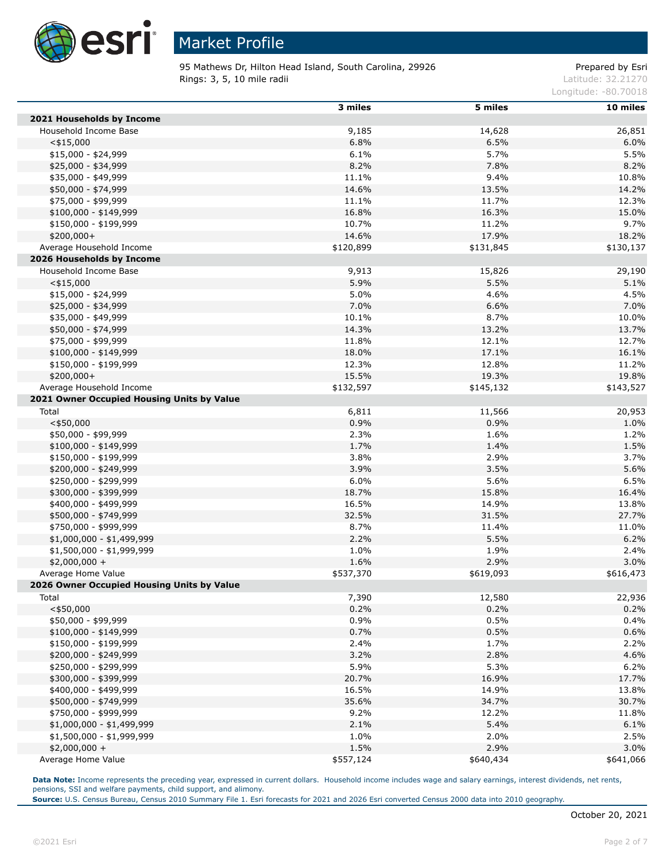

95 Mathews Dr, Hilton Head Island, South Carolina, 29926 Prepared by Esri **Rings: 3, 5, 10 mile radii** Latitude: 32.21270

Longitude: -80.70018

|                                            | 3 miles   | 5 miles   | 10 miles  |
|--------------------------------------------|-----------|-----------|-----------|
| 2021 Households by Income                  |           |           |           |
| Household Income Base                      | 9,185     | 14,628    | 26,851    |
| $<$ \$15,000                               | 6.8%      | 6.5%      | 6.0%      |
| $$15,000 - $24,999$                        | 6.1%      | 5.7%      | 5.5%      |
| \$25,000 - \$34,999                        | 8.2%      | 7.8%      | 8.2%      |
| \$35,000 - \$49,999                        | 11.1%     | 9.4%      | 10.8%     |
| \$50,000 - \$74,999                        | 14.6%     | 13.5%     | 14.2%     |
| \$75,000 - \$99,999                        | 11.1%     | 11.7%     | 12.3%     |
| $$100,000 - $149,999$                      | 16.8%     | 16.3%     | 15.0%     |
| \$150,000 - \$199,999                      | 10.7%     | 11.2%     | 9.7%      |
| $$200,000+$                                | 14.6%     | 17.9%     | 18.2%     |
| Average Household Income                   | \$120,899 | \$131,845 | \$130,137 |
| 2026 Households by Income                  |           |           |           |
| Household Income Base                      | 9,913     | 15,826    | 29,190    |
| $<$ \$15,000                               | 5.9%      | 5.5%      | 5.1%      |
| $$15,000 - $24,999$                        | 5.0%      | 4.6%      | 4.5%      |
| \$25,000 - \$34,999                        | 7.0%      | 6.6%      | 7.0%      |
| \$35,000 - \$49,999                        | 10.1%     | 8.7%      | 10.0%     |
| \$50,000 - \$74,999                        | 14.3%     | 13.2%     | 13.7%     |
| \$75,000 - \$99,999                        | 11.8%     | 12.1%     | 12.7%     |
| \$100,000 - \$149,999                      | 18.0%     | 17.1%     | 16.1%     |
| $$150,000 - $199,999$                      | 12.3%     | 12.8%     | 11.2%     |
| $$200,000+$                                | 15.5%     | 19.3%     | 19.8%     |
| Average Household Income                   |           | \$145,132 |           |
|                                            | \$132,597 |           | \$143,527 |
| 2021 Owner Occupied Housing Units by Value |           |           |           |
| Total                                      | 6,811     | 11,566    | 20,953    |
| $<$ \$50,000                               | 0.9%      | 0.9%      | 1.0%      |
| \$50,000 - \$99,999                        | 2.3%      | 1.6%      | 1.2%      |
| $$100,000 - $149,999$                      | 1.7%      | 1.4%      | 1.5%      |
| \$150,000 - \$199,999                      | 3.8%      | 2.9%      | 3.7%      |
| \$200,000 - \$249,999                      | 3.9%      | 3.5%      | 5.6%      |
| \$250,000 - \$299,999                      | 6.0%      | 5.6%      | 6.5%      |
| \$300,000 - \$399,999                      | 18.7%     | 15.8%     | 16.4%     |
| \$400,000 - \$499,999                      | 16.5%     | 14.9%     | 13.8%     |
| \$500,000 - \$749,999                      | 32.5%     | 31.5%     | 27.7%     |
| \$750,000 - \$999,999                      | 8.7%      | 11.4%     | 11.0%     |
| $$1,000,000 - $1,499,999$                  | 2.2%      | 5.5%      | 6.2%      |
| \$1,500,000 - \$1,999,999                  | 1.0%      | 1.9%      | 2.4%      |
| $$2,000,000 +$                             | 1.6%      | 2.9%      | 3.0%      |
| Average Home Value                         | \$537,370 | \$619,093 | \$616,473 |
| 2026 Owner Occupied Housing Units by Value |           |           |           |
| Total                                      | 7,390     | 12,580    | 22,936    |
| $<$ \$50,000                               | 0.2%      | 0.2%      | 0.2%      |
| \$50,000 - \$99,999                        | 0.9%      | 0.5%      | 0.4%      |
| $$100,000 - $149,999$                      | 0.7%      | 0.5%      | 0.6%      |
| \$150,000 - \$199,999                      | 2.4%      | 1.7%      | 2.2%      |
| \$200,000 - \$249,999                      | 3.2%      | 2.8%      | 4.6%      |
| \$250,000 - \$299,999                      | 5.9%      | 5.3%      | 6.2%      |
| \$300,000 - \$399,999                      | 20.7%     | 16.9%     | 17.7%     |
| \$400,000 - \$499,999                      | 16.5%     | 14.9%     | 13.8%     |
| \$500,000 - \$749,999                      | 35.6%     | 34.7%     | 30.7%     |
| \$750,000 - \$999,999                      | 9.2%      | 12.2%     | 11.8%     |
| \$1,000,000 - \$1,499,999                  | 2.1%      | 5.4%      | 6.1%      |
| \$1,500,000 - \$1,999,999                  | 1.0%      | 2.0%      | 2.5%      |
| $$2,000,000 +$                             | 1.5%      | 2.9%      | 3.0%      |
| Average Home Value                         | \$557,124 | \$640,434 | \$641,066 |

**Data Note:** Income represents the preceding year, expressed in current dollars. Household income includes wage and salary earnings, interest dividends, net rents, pensions, SSI and welfare payments, child support, and alimony.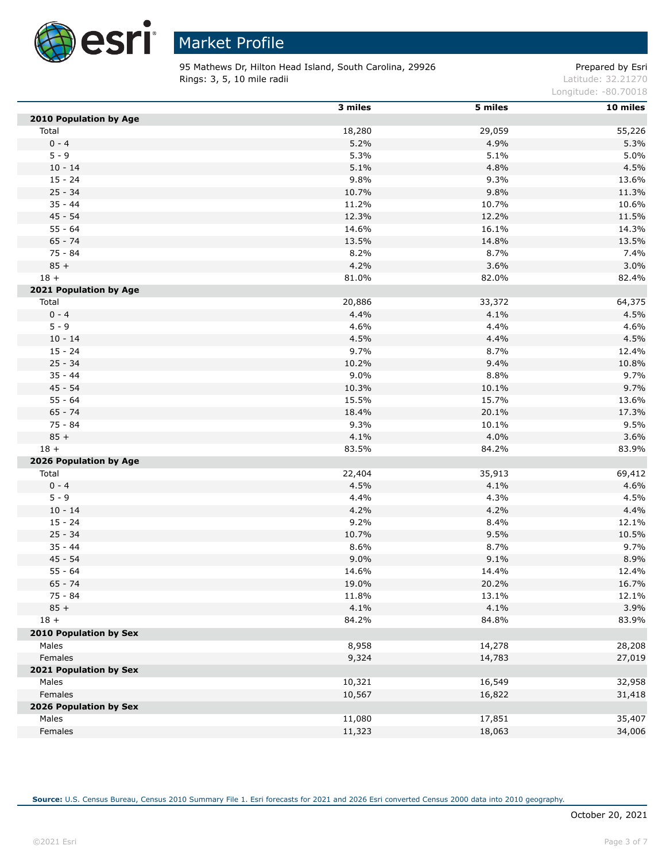

95 Mathews Dr, Hilton Head Island, South Carolina, 29926 Prepared by Esri **Rings: 3, 5, 10 mile radii**  $\blacksquare$  **Rings: 3, 5, 10 mile radii**  $\blacksquare$ 

Longitude: -80.70018

|                               | 3 miles | 5 miles | 10 miles |
|-------------------------------|---------|---------|----------|
| 2010 Population by Age        |         |         |          |
| Total                         | 18,280  | 29,059  | 55,226   |
| $0 - 4$                       | 5.2%    | 4.9%    | 5.3%     |
| $5 - 9$                       | 5.3%    | 5.1%    | 5.0%     |
| $10 - 14$                     | 5.1%    | 4.8%    | 4.5%     |
| $15 - 24$                     | 9.8%    | 9.3%    | 13.6%    |
| $25 - 34$                     | 10.7%   | 9.8%    | 11.3%    |
| $35 - 44$                     | 11.2%   | 10.7%   | 10.6%    |
| $45 - 54$                     | 12.3%   | 12.2%   | 11.5%    |
| $55 - 64$                     | 14.6%   | 16.1%   | 14.3%    |
| $65 - 74$                     | 13.5%   | 14.8%   | 13.5%    |
| $75 - 84$                     | 8.2%    | 8.7%    | 7.4%     |
| $85 +$                        | 4.2%    | 3.6%    | 3.0%     |
| $18 +$                        | 81.0%   | 82.0%   | 82.4%    |
| 2021 Population by Age        |         |         |          |
| Total                         | 20,886  | 33,372  | 64,375   |
| $0 - 4$                       | 4.4%    | 4.1%    | 4.5%     |
| $5 - 9$                       | 4.6%    | 4.4%    | 4.6%     |
| $10 - 14$                     | 4.5%    | 4.4%    | 4.5%     |
| $15 - 24$                     | 9.7%    | 8.7%    | 12.4%    |
| $25 - 34$                     | 10.2%   | 9.4%    | 10.8%    |
| $35 - 44$                     | 9.0%    | 8.8%    | 9.7%     |
| $45 - 54$                     | 10.3%   | 10.1%   | 9.7%     |
| $55 - 64$                     | 15.5%   | 15.7%   | 13.6%    |
| $65 - 74$                     | 18.4%   | 20.1%   | 17.3%    |
| 75 - 84                       | 9.3%    | 10.1%   | 9.5%     |
| $85 +$                        | 4.1%    | 4.0%    | 3.6%     |
| $18 +$                        | 83.5%   | 84.2%   | 83.9%    |
| 2026 Population by Age        |         |         |          |
| Total                         | 22,404  | 35,913  | 69,412   |
| $0 - 4$                       | 4.5%    | 4.1%    | 4.6%     |
| $5 - 9$                       | 4.4%    | 4.3%    | 4.5%     |
| $10 - 14$                     | 4.2%    | 4.2%    | 4.4%     |
| $15 - 24$                     | 9.2%    | 8.4%    | 12.1%    |
| $25 - 34$                     | 10.7%   | 9.5%    | 10.5%    |
| $35 - 44$                     | 8.6%    | 8.7%    | 9.7%     |
| $45 - 54$                     | 9.0%    | 9.1%    | 8.9%     |
| $55 - 64$                     | 14.6%   | 14.4%   | 12.4%    |
| $65 - 74$                     | 19.0%   | 20.2%   | 16.7%    |
| 75 - 84                       | 11.8%   | 13.1%   | 12.1%    |
| $85 +$                        | 4.1%    | 4.1%    | 3.9%     |
| $18 +$                        | 84.2%   | 84.8%   | 83.9%    |
| <b>2010 Population by Sex</b> |         |         |          |
| Males                         | 8,958   | 14,278  | 28,208   |
| Females                       | 9,324   | 14,783  | 27,019   |
| 2021 Population by Sex        |         |         |          |
| Males                         | 10,321  | 16,549  | 32,958   |
| Females                       | 10,567  | 16,822  | 31,418   |
| 2026 Population by Sex        |         |         |          |
| Males                         | 11,080  | 17,851  | 35,407   |
| Females                       | 11,323  | 18,063  | 34,006   |
|                               |         |         |          |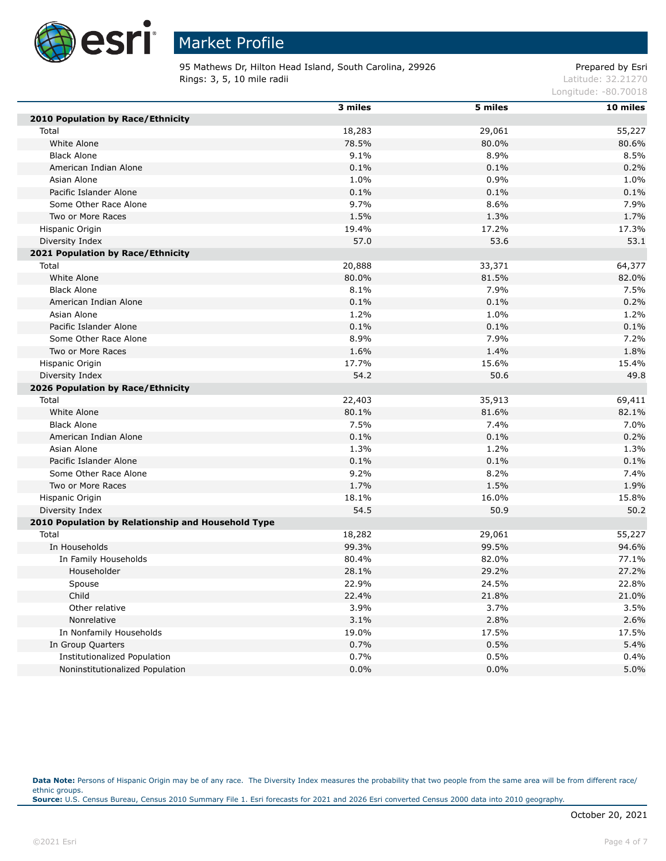

95 Mathews Dr, Hilton Head Island, South Carolina, 29926 Prepared by Esri **Rings: 3, 5, 10 mile radii**  $\blacksquare$  **Rings: 3, 5, 10 mile radii**  $\blacksquare$ 

Longitude: -80.70018

|                                                    | 3 miles | 5 miles | 10 miles |
|----------------------------------------------------|---------|---------|----------|
| 2010 Population by Race/Ethnicity                  |         |         |          |
| Total                                              | 18,283  | 29,061  | 55,227   |
| White Alone                                        | 78.5%   | 80.0%   | 80.6%    |
| <b>Black Alone</b>                                 | 9.1%    | 8.9%    | 8.5%     |
| American Indian Alone                              | 0.1%    | 0.1%    | 0.2%     |
| Asian Alone                                        | 1.0%    | 0.9%    | 1.0%     |
| Pacific Islander Alone                             | 0.1%    | 0.1%    | 0.1%     |
| Some Other Race Alone                              | 9.7%    | 8.6%    | 7.9%     |
| Two or More Races                                  | 1.5%    | 1.3%    | 1.7%     |
| Hispanic Origin                                    | 19.4%   | 17.2%   | 17.3%    |
| Diversity Index                                    | 57.0    | 53.6    | 53.1     |
| 2021 Population by Race/Ethnicity                  |         |         |          |
| Total                                              | 20,888  | 33,371  | 64,377   |
| White Alone                                        | 80.0%   | 81.5%   | 82.0%    |
| <b>Black Alone</b>                                 | 8.1%    | 7.9%    | 7.5%     |
| American Indian Alone                              | 0.1%    | 0.1%    | 0.2%     |
| Asian Alone                                        | 1.2%    | 1.0%    | 1.2%     |
| Pacific Islander Alone                             | 0.1%    | 0.1%    | 0.1%     |
| Some Other Race Alone                              | 8.9%    | 7.9%    | 7.2%     |
| Two or More Races                                  | 1.6%    | 1.4%    | 1.8%     |
| Hispanic Origin                                    | 17.7%   | 15.6%   | 15.4%    |
| Diversity Index                                    | 54.2    | 50.6    | 49.8     |
| 2026 Population by Race/Ethnicity                  |         |         |          |
| Total                                              | 22,403  | 35,913  | 69,411   |
| White Alone                                        | 80.1%   | 81.6%   | 82.1%    |
| <b>Black Alone</b>                                 | 7.5%    | 7.4%    | 7.0%     |
| American Indian Alone                              | 0.1%    | 0.1%    | 0.2%     |
| Asian Alone                                        | 1.3%    | 1.2%    | 1.3%     |
| Pacific Islander Alone                             | 0.1%    | 0.1%    | 0.1%     |
| Some Other Race Alone                              | 9.2%    | 8.2%    | 7.4%     |
| Two or More Races                                  | 1.7%    | 1.5%    | 1.9%     |
| Hispanic Origin                                    | 18.1%   | 16.0%   | 15.8%    |
| Diversity Index                                    | 54.5    | 50.9    | 50.2     |
| 2010 Population by Relationship and Household Type |         |         |          |
| Total                                              | 18,282  | 29,061  | 55,227   |
| In Households                                      | 99.3%   | 99.5%   | 94.6%    |
| In Family Households                               | 80.4%   | 82.0%   | 77.1%    |
| Householder                                        | 28.1%   | 29.2%   | 27.2%    |
| Spouse                                             | 22.9%   | 24.5%   | 22.8%    |
| Child                                              | 22.4%   | 21.8%   | 21.0%    |
| Other relative                                     | 3.9%    | 3.7%    | 3.5%     |
| Nonrelative                                        | 3.1%    | 2.8%    | 2.6%     |
| In Nonfamily Households                            | 19.0%   | 17.5%   | 17.5%    |
| In Group Quarters                                  | 0.7%    | 0.5%    | 5.4%     |
| <b>Institutionalized Population</b>                | 0.7%    | 0.5%    | 0.4%     |
| Noninstitutionalized Population                    | 0.0%    | 0.0%    | 5.0%     |

Data Note: Persons of Hispanic Origin may be of any race. The Diversity Index measures the probability that two people from the same area will be from different race/ ethnic groups. **Source:** U.S. Census Bureau, Census 2010 Summary File 1. Esri forecasts for 2021 and 2026 Esri converted Census 2000 data into 2010 geography.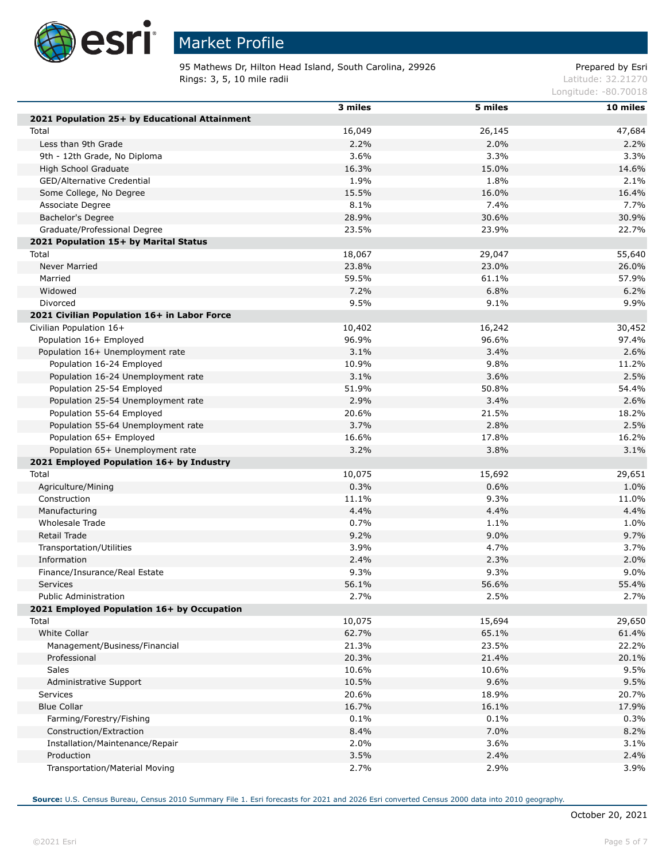

# Market Profile

95 Mathews Dr, Hilton Head Island, South Carolina, 29926 Prepared by Esri **Rings: 3, 5, 10 mile radii**  $\blacksquare$  **Rings: 3, 5, 10 mile radii**  $\blacksquare$ 

Longitude: -80.70018

|                                                                     | 3 miles        | 5 miles | 10 miles |
|---------------------------------------------------------------------|----------------|---------|----------|
| 2021 Population 25+ by Educational Attainment                       |                |         |          |
| Total                                                               | 16,049         | 26,145  | 47,684   |
| Less than 9th Grade                                                 | 2.2%           | 2.0%    | 2.2%     |
| 9th - 12th Grade, No Diploma                                        | 3.6%           | 3.3%    | 3.3%     |
| High School Graduate                                                | 16.3%          | 15.0%   | 14.6%    |
| GED/Alternative Credential                                          | 1.9%           | 1.8%    | 2.1%     |
| Some College, No Degree                                             | 15.5%          | 16.0%   | 16.4%    |
| Associate Degree                                                    | 8.1%           | 7.4%    | 7.7%     |
| Bachelor's Degree                                                   | 28.9%          | 30.6%   | 30.9%    |
| Graduate/Professional Degree                                        | 23.5%          | 23.9%   | 22.7%    |
| 2021 Population 15+ by Marital Status                               |                |         |          |
| Total                                                               | 18,067         | 29,047  | 55,640   |
| <b>Never Married</b>                                                | 23.8%          | 23.0%   | 26.0%    |
| Married                                                             | 59.5%          | 61.1%   | 57.9%    |
| Widowed                                                             | 7.2%           | 6.8%    | 6.2%     |
| Divorced                                                            | 9.5%           | 9.1%    | 9.9%     |
| 2021 Civilian Population 16+ in Labor Force                         |                |         |          |
| Civilian Population 16+                                             | 10,402         | 16,242  | 30,452   |
| Population 16+ Employed                                             | 96.9%          | 96.6%   | 97.4%    |
| Population 16+ Unemployment rate                                    | 3.1%           | 3.4%    | 2.6%     |
| Population 16-24 Employed                                           | 10.9%          | 9.8%    | 11.2%    |
| Population 16-24 Unemployment rate                                  | 3.1%           | 3.6%    | 2.5%     |
| Population 25-54 Employed                                           | 51.9%          | 50.8%   | 54.4%    |
| Population 25-54 Unemployment rate                                  | 2.9%           | 3.4%    | 2.6%     |
| Population 55-64 Employed                                           | 20.6%          | 21.5%   | 18.2%    |
| Population 55-64 Unemployment rate                                  | 3.7%           | 2.8%    | 2.5%     |
| Population 65+ Employed                                             | 16.6%          | 17.8%   | 16.2%    |
| Population 65+ Unemployment rate                                    | 3.2%           | 3.8%    | 3.1%     |
| 2021 Employed Population 16+ by Industry                            |                |         |          |
| Total                                                               | 10,075         | 15,692  | 29,651   |
| Agriculture/Mining                                                  | 0.3%           | 0.6%    | 1.0%     |
| Construction                                                        | 11.1%          | 9.3%    | 11.0%    |
| Manufacturing                                                       | 4.4%           | 4.4%    | 4.4%     |
| Wholesale Trade                                                     | 0.7%           | 1.1%    | 1.0%     |
| Retail Trade                                                        | 9.2%           | 9.0%    | 9.7%     |
|                                                                     | 3.9%           | 4.7%    | 3.7%     |
| Transportation/Utilities                                            | 2.4%           | 2.3%    | 2.0%     |
| Information<br>Finance/Insurance/Real Estate                        | 9.3%           | 9.3%    | 9.0%     |
|                                                                     |                |         | 55.4%    |
| <b>Services</b>                                                     | 56.1%          | 56.6%   |          |
| Public Administration<br>2021 Employed Population 16+ by Occupation | 2.7%           | 2.5%    | 2.7%     |
|                                                                     |                |         |          |
| Total<br><b>White Collar</b>                                        | 10,075         | 15,694  | 29,650   |
|                                                                     | 62.7%<br>21.3% | 65.1%   | 61.4%    |
| Management/Business/Financial                                       |                | 23.5%   | 22.2%    |
| Professional                                                        | 20.3%          | 21.4%   | 20.1%    |
| <b>Sales</b>                                                        | 10.6%          | 10.6%   | 9.5%     |
| Administrative Support                                              | 10.5%          | 9.6%    | 9.5%     |
| Services                                                            | 20.6%          | 18.9%   | 20.7%    |
| <b>Blue Collar</b>                                                  | 16.7%          | 16.1%   | 17.9%    |
| Farming/Forestry/Fishing                                            | 0.1%           | 0.1%    | 0.3%     |
| Construction/Extraction                                             | 8.4%           | 7.0%    | 8.2%     |
| Installation/Maintenance/Repair                                     | 2.0%           | 3.6%    | 3.1%     |
| Production                                                          | 3.5%           | 2.4%    | 2.4%     |
| Transportation/Material Moving                                      | 2.7%           | 2.9%    | 3.9%     |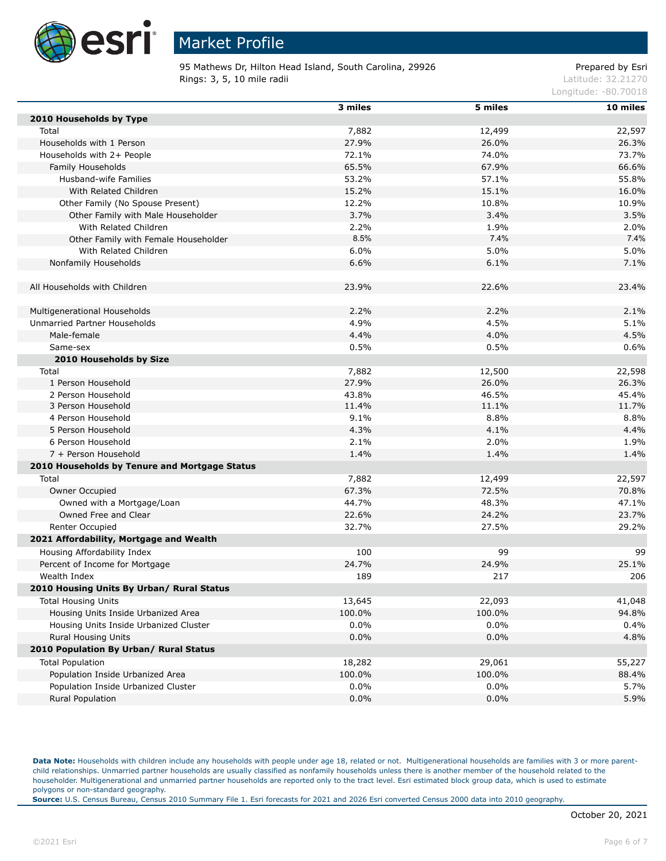

95 Mathews Dr, Hilton Head Island, South Carolina, 29926 Prepared by Esri **Rings: 3, 5, 10 mile radii**  $\blacksquare$  **Rings: 3, 5, 10 mile radii**  $\blacksquare$ 

Longitude: -80.70018

|                                               | 3 miles | 5 miles | 10 miles |
|-----------------------------------------------|---------|---------|----------|
| 2010 Households by Type                       |         |         |          |
| Total                                         | 7,882   | 12,499  | 22,597   |
| Households with 1 Person                      | 27.9%   | 26.0%   | 26.3%    |
| Households with 2+ People                     | 72.1%   | 74.0%   | 73.7%    |
| Family Households                             | 65.5%   | 67.9%   | 66.6%    |
| Husband-wife Families                         | 53.2%   | 57.1%   | 55.8%    |
| With Related Children                         | 15.2%   | 15.1%   | 16.0%    |
| Other Family (No Spouse Present)              | 12.2%   | 10.8%   | 10.9%    |
| Other Family with Male Householder            | 3.7%    | 3.4%    | 3.5%     |
| With Related Children                         | 2.2%    | 1.9%    | 2.0%     |
| Other Family with Female Householder          | 8.5%    | 7.4%    | 7.4%     |
| With Related Children                         | 6.0%    | 5.0%    | 5.0%     |
| Nonfamily Households                          | 6.6%    | 6.1%    | 7.1%     |
|                                               |         |         |          |
| All Households with Children                  | 23.9%   | 22.6%   | 23.4%    |
|                                               |         |         |          |
| Multigenerational Households                  | 2.2%    | 2.2%    | 2.1%     |
| Unmarried Partner Households                  | 4.9%    | 4.5%    | 5.1%     |
| Male-female                                   | 4.4%    | 4.0%    | 4.5%     |
| Same-sex                                      | 0.5%    | 0.5%    | 0.6%     |
| 2010 Households by Size                       |         |         |          |
| Total                                         | 7,882   | 12,500  | 22,598   |
| 1 Person Household                            | 27.9%   | 26.0%   | 26.3%    |
| 2 Person Household                            | 43.8%   | 46.5%   | 45.4%    |
| 3 Person Household                            | 11.4%   | 11.1%   | 11.7%    |
| 4 Person Household                            | 9.1%    | 8.8%    | 8.8%     |
| 5 Person Household                            | 4.3%    | 4.1%    | 4.4%     |
| 6 Person Household                            | 2.1%    | 2.0%    | 1.9%     |
| 7 + Person Household                          | 1.4%    | 1.4%    | 1.4%     |
|                                               |         |         |          |
| 2010 Households by Tenure and Mortgage Status |         |         |          |
| Total                                         | 7,882   | 12,499  | 22,597   |
| Owner Occupied                                | 67.3%   | 72.5%   | 70.8%    |
| Owned with a Mortgage/Loan                    | 44.7%   | 48.3%   | 47.1%    |
| Owned Free and Clear                          | 22.6%   | 24.2%   | 23.7%    |
| Renter Occupied                               | 32.7%   | 27.5%   | 29.2%    |
| 2021 Affordability, Mortgage and Wealth       |         |         |          |
| Housing Affordability Index                   | 100     | 99      | 99       |
| Percent of Income for Mortgage                | 24.7%   | 24.9%   | 25.1%    |
| Wealth Index                                  | 189     | 217     | 206      |
| 2010 Housing Units By Urban/ Rural Status     |         |         |          |
| <b>Total Housing Units</b>                    | 13,645  | 22,093  | 41,048   |
| Housing Units Inside Urbanized Area           | 100.0%  | 100.0%  | 94.8%    |
| Housing Units Inside Urbanized Cluster        | 0.0%    | 0.0%    | 0.4%     |
| Rural Housing Units                           | 0.0%    | 0.0%    | 4.8%     |
| 2010 Population By Urban/ Rural Status        |         |         |          |
| <b>Total Population</b>                       | 18,282  | 29,061  | 55,227   |
| Population Inside Urbanized Area              | 100.0%  | 100.0%  | 88.4%    |
| Population Inside Urbanized Cluster           | 0.0%    | 0.0%    | 5.7%     |
| <b>Rural Population</b>                       | 0.0%    | 0.0%    | 5.9%     |
|                                               |         |         |          |

Data Note: Households with children include any households with people under age 18, related or not. Multigenerational households are families with 3 or more parentchild relationships. Unmarried partner households are usually classified as nonfamily households unless there is another member of the household related to the householder. Multigenerational and unmarried partner households are reported only to the tract level. Esri estimated block group data, which is used to estimate polygons or non-standard geography.